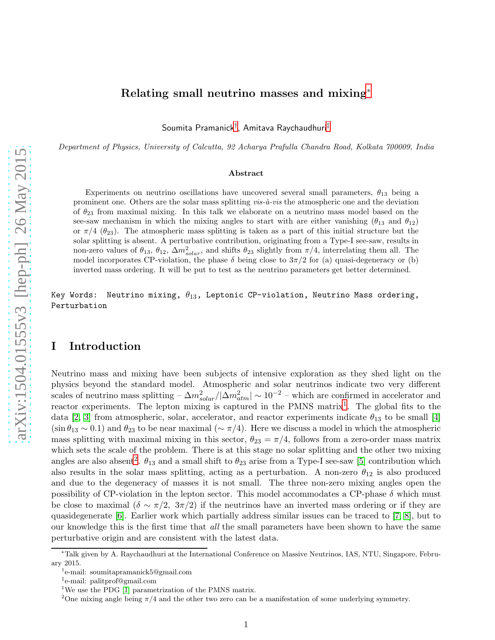# Relating small neutrino masses and mixing[∗](#page-0-0)

Soumita Pramanick[†](#page-0-1) , Amitava Raychaudhuri[‡](#page-0-2)

Department of Physics, University of Calcutta, 92 Acharya Prafulla Chandra Road, Kolkata 700009, India

#### Abstract

Experiments on neutrino oscillations have uncovered several small parameters,  $\theta_{13}$  being a prominent one. Others are the solar mass splitting  $vis-\hat{a}-vis$  the atmospheric one and the deviation of  $\theta_{23}$  from maximal mixing. In this talk we elaborate on a neutrino mass model based on the see-saw mechanism in which the mixing angles to start with are either vanishing  $(\theta_{13}$  and  $\theta_{12})$ or  $\pi/4$  ( $\theta_{23}$ ). The atmospheric mass splitting is taken as a part of this initial structure but the solar splitting is absent. A perturbative contribution, originating from a Type-I see-saw, results in non-zero values of  $\theta_{13}$ ,  $\theta_{12}$ ,  $\Delta m_{solar}^2$ , and shifts  $\theta_{23}$  slightly from  $\pi/4$ , interrelating them all. The model incorporates CP-violation, the phase  $\delta$  being close to  $3\pi/2$  for (a) quasi-degeneracy or (b) inverted mass ordering. It will be put to test as the neutrino parameters get better determined.

Key Words: Neutrino mixing,  $\theta_{13}$ , Leptonic CP-violation, Neutrino Mass ordering, Perturbation

### I Introduction

Neutrino mass and mixing have been subjects of intensive exploration as they shed light on the physics beyond the standard model. Atmospheric and solar neutrinos indicate two very different scales of neutrino mass splitting  $-\Delta m_{solar}^2/|\Delta m_{atm}^2| \sim 10^{-2}$  – which are confirmed in accelerator and reactor experiments. The lepton mixing is captured in the PMNS matrix<sup>[1](#page-0-3)</sup>. The global fits to the data [\[2,](#page-7-0) [3\]](#page-7-1) from atmospheric, solar, accelerator, and reactor experiments indicate  $\theta_{13}$  to be small [\[4\]](#page-7-2)  $(\sin \theta_{13} \sim 0.1)$  and  $\theta_{23}$  to be near maximal  $(\sim \pi/4)$ . Here we discuss a model in which the atmospheric mass splitting with maximal mixing in this sector,  $\theta_{23} = \pi/4$ , follows from a zero-order mass matrix which sets the scale of the problem. There is at this stage no solar splitting and the other two mixing angles are also absent<sup>[2](#page-0-4)</sup>.  $\theta_{13}$  and a small shift to  $\theta_{23}$  arise from a Type-I see-saw [\[5\]](#page-8-0) contribution which also results in the solar mass splitting, acting as a perturbation. A non-zero  $\theta_{12}$  is also produced and due to the degeneracy of masses it is not small. The three non-zero mixing angles open the possibility of CP-violation in the lepton sector. This model accommodates a CP-phase  $\delta$  which must be close to maximal  $(\delta \sim \pi/2, 3\pi/2)$  if the neutrinos have an inverted mass ordering or if they are quasidegenerate [\[6\]](#page-8-1). Earlier work which partially address similar issues can be traced to [\[7,](#page-8-2) [8\]](#page-8-3), but to our knowledge this is the first time that *all* the small parameters have been shown to have the same perturbative origin and are consistent with the latest data.

<sup>∗</sup>Talk given by A. Raychaudhuri at the International Conference on Massive Neutrinos, IAS, NTU, Singapore, February 2015.

<span id="page-0-0"></span><sup>†</sup> e-mail: soumitapramanick5@gmail.com

<span id="page-0-1"></span><sup>‡</sup> e-mail: palitprof@gmail.com

<span id="page-0-2"></span><sup>&</sup>lt;sup>1</sup>We use the PDG [\[1\]](#page-7-3) parametrization of the PMNS matrix.

<span id="page-0-4"></span><span id="page-0-3"></span><sup>&</sup>lt;sup>2</sup>One mixing angle being  $\pi/4$  and the other two zero can be a manifestation of some underlying symmetry.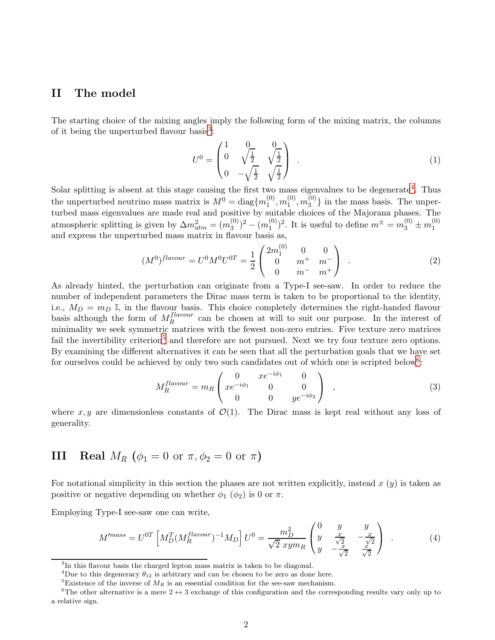# II The model

The starting choice of the mixing angles imply the following form of the mixing matrix, the columns of it being the unperturbed flavour basis<sup>[3](#page-1-0)</sup>:

$$
U^{0} = \begin{pmatrix} 1 & 0 & 0 \\ 0 & \sqrt{\frac{1}{2}} & \sqrt{\frac{1}{2}} \\ 0 & -\sqrt{\frac{1}{2}} & \sqrt{\frac{1}{2}} \end{pmatrix} .
$$
 (1)

Solar splitting is absent at this stage causing the first two mass eigenvalues to be degenerate<sup>[4](#page-1-1)</sup>. Thus the unperturbed neutrino mass matrix is  $M^0 = \text{diag}\{m_1^{(0)}\}$  $\binom{(0)}{1}, m_1^{(0)}$  $\binom{00}{1}, m_3^{(0)}$  $\binom{00}{3}$  in the mass basis. The unperturbed mass eigenvalues are made real and positive by suitable choices of the Majorana phases. The atmospheric splitting is given by  $\Delta m_{atm}^2 = (m_3^{(0)}$  $\binom{0}{3}^2 - \left(m_1^{(0)}\right)$  $(n^{(0)})^2$ . It is useful to define  $m^{\pm} = m_3^{(0)} \pm m_1^{(0)}$ 1 and express the unperturbed mass matrix in flavour basis as,

$$
(M^0)^{flavour} = U^0 M^0 U^{0T} = \frac{1}{2} \begin{pmatrix} 2m_1^{(0)} & 0 & 0\\ 0 & m^+ & m^-\\ 0 & m^- & m^+ \end{pmatrix} . \tag{2}
$$

As already hinted, the perturbation can originate from a Type-I see-saw. In order to reduce the number of independent parameters the Dirac mass term is taken to be proportional to the identity, i.e.,  $M_D = m_D \mathbb{I}$ , in the flavour basis. This choice completely determines the right-handed flavour basis although the form of  $M_R^{flavour}$  can be chosen at will to suit our purpose. In the interest of minimality we seek symmetric matrices with the fewest non-zero entries. Five texture zero matrices fail the invertibility criterion<sup>[5](#page-1-2)</sup> and therefore are not pursued. Next we try four texture zero options. By examining the different alternatives it can be seen that all the perturbation goals that we have set for ourselves could be achieved by only two such candidates out of which one is scripted below<sup>[6](#page-1-3)</sup>:

$$
M_R^{flavour} = m_R \begin{pmatrix} 0 & x e^{-i\phi_1} & 0 \\ x e^{-i\phi_1} & 0 & 0 \\ 0 & 0 & y e^{-i\phi_2} \end{pmatrix} , \qquad (3)
$$

where x, y are dimensionless constants of  $\mathcal{O}(1)$ . The Dirac mass is kept real without any loss of generality.

# <span id="page-1-5"></span>III Real  $M_R$  ( $\phi_1 = 0$  or  $\pi, \phi_2 = 0$  or  $\pi$ )

For notational simplicity in this section the phases are not written explicitly, instead  $x(y)$  is taken as positive or negative depending on whether  $\phi_1$  ( $\phi_2$ ) is 0 or  $\pi$ .

Employing Type-I see-saw one can write,

<span id="page-1-4"></span>
$$
M^{mass} = U^{0T} \left[ M_D^T (M_R^{flavour})^{-1} M_D \right] U^0 = \frac{m_D^2}{\sqrt{2} \ xym_R} \begin{pmatrix} 0 & y & y \\ y & \frac{x}{\sqrt{2}} & -\frac{x}{\sqrt{2}} \\ y & -\frac{x}{\sqrt{2}} & \frac{x}{\sqrt{2}} \end{pmatrix} . \tag{4}
$$

<sup>&</sup>lt;sup>3</sup>In this flavour basis the charged lepton mass matrix is taken to be diagonal.

<span id="page-1-0"></span><sup>&</sup>lt;sup>4</sup>Due to this degeneracy  $\theta_{12}$  is arbitrary and can be chosen to be zero as done here.

<span id="page-1-2"></span><span id="page-1-1"></span><sup>&</sup>lt;sup>5</sup>Existence of the inverse of  $M_R$  is an essential condition for the see-saw mechanism.

<span id="page-1-3"></span><sup>&</sup>lt;sup>6</sup>The other alternative is a mere  $2 \leftrightarrow 3$  exchange of this configuration and the corresponding results vary only up to a relative sign.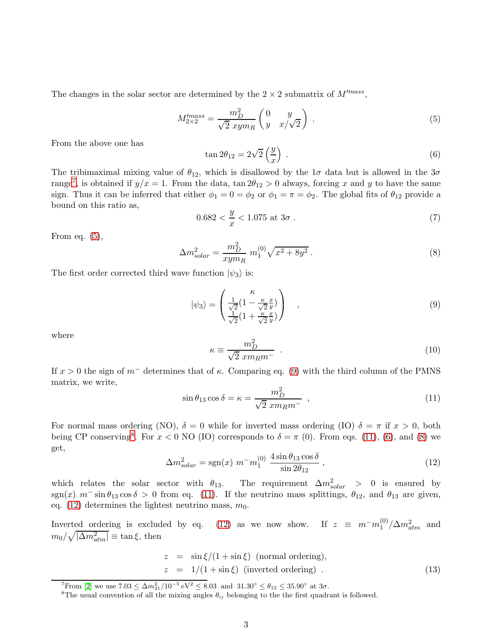The changes in the solar sector are determined by the  $2 \times 2$  submatrix of  $M'^{mass}$ ,

<span id="page-2-1"></span>
$$
M_{2\times 2}^{\prime mass} = \frac{m_D^2}{\sqrt{2} \ xym_R} \begin{pmatrix} 0 & y \\ y & x/\sqrt{2} \end{pmatrix} . \tag{5}
$$

From the above one has

<span id="page-2-5"></span>
$$
\tan 2\theta_{12} = 2\sqrt{2}\left(\frac{y}{x}\right) \ . \tag{6}
$$

The tribimaximal mixing value of  $\theta_{12}$ , which is disallowed by the  $1\sigma$  data but is allowed in the  $3\sigma$ range<sup>[7](#page-2-0)</sup>, is obtained if  $y/x = 1$ . From the data,  $\tan 2\theta_{12} > 0$  always, forcing x and y to have the same sign. Thus it can be inferred that either  $\phi_1 = 0 = \phi_2$  or  $\phi_1 = \pi = \phi_2$ . The global fits of  $\theta_{12}$  provide a bound on this ratio as,

<span id="page-2-8"></span>
$$
0.682 < \frac{y}{x} < 1.075 \text{ at } 3\sigma \tag{7}
$$

From eq.  $(5)$ ,

<span id="page-2-6"></span>
$$
\Delta m_{solar}^2 = \frac{m_D^2}{xym_R} m_1^{(0)} \sqrt{x^2 + 8y^2} . \tag{8}
$$

The first order corrected third wave function  $|\psi_3\rangle$  is:

<span id="page-2-2"></span>
$$
|\psi_3\rangle = \begin{pmatrix} \frac{\kappa}{\sqrt{2}}(1 - \frac{\kappa}{\sqrt{2}}\frac{x}{y}) \\ \frac{1}{\sqrt{2}}(1 + \frac{\kappa}{\sqrt{2}}\frac{x}{y}) \end{pmatrix} ,
$$
 (9)

where

$$
\kappa \equiv \frac{m_D^2}{\sqrt{2} \; x m_R m^-} \; . \tag{10}
$$

If  $x > 0$  the sign of  $m^-$  determines that of  $\kappa$ . Comparing eq. [\(9\)](#page-2-2) with the third column of the PMNS matrix, we write,

<span id="page-2-4"></span>
$$
\sin \theta_{13} \cos \delta = \kappa = \frac{m_D^2}{\sqrt{2} \ x m_R m^-} \tag{11}
$$

For normal mass ordering (NO),  $\delta = 0$  while for inverted mass ordering (IO)  $\delta = \pi$  if  $x > 0$ , both being CP conserving<sup>[8](#page-2-3)</sup>. For  $x < 0$  NO (IO) corresponds to  $\delta = \pi$  (0). From eqs. [\(11\)](#page-2-4), [\(6\)](#page-2-5), and [\(8\)](#page-2-6) we get,

<span id="page-2-7"></span>
$$
\Delta m_{solar}^2 = \text{sgn}(x) \ m^{-} m_1^{(0)} \ \frac{4 \sin \theta_{13} \cos \delta}{\sin 2\theta_{12}} \,, \tag{12}
$$

which relates the solar sector with  $\theta_{13}$ . The requirement  $\Delta m_{solar}^2 > 0$  is ensured by sgn(x)  $m^- \sin \theta_{13} \cos \delta > 0$  from eq. [\(11\)](#page-2-4). If the neutrino mass splittings,  $\theta_{12}$ , and  $\theta_{13}$  are given, eq. [\(12\)](#page-2-7) determines the lightest neutrino mass,  $m_0$ .

Inverted ordering is excluded by eq. [\(12\)](#page-2-7) as we now show. If  $z \equiv m^{-}m_1^{(0)}$  $_{1}^{(0)}/\Delta m_{atm}^{2}$  and  $m_0/\sqrt{|\Delta m^2_{atm}|} \equiv \tan \xi$ , then

<span id="page-2-9"></span>
$$
z = \sin \xi / (1 + \sin \xi) \text{ (normal ordering)},
$$
  
\n
$$
z = 1 / (1 + \sin \xi) \text{ (inverted ordering)}.
$$
\n(13)

<sup>&</sup>lt;sup>7</sup>From [\[2\]](#page-7-0) we use  $7.03 \le \Delta m_{21}^2 / 10^{-5} \text{ eV}^2 \le 8.03$  and  $31.30^{\circ} \le \theta_{12} \le 35.90^{\circ}$  at  $3\sigma$ .

<span id="page-2-3"></span><span id="page-2-0"></span><sup>&</sup>lt;sup>8</sup>The usual convention of all the mixing angles  $\theta_{ij}$  belonging to the the first quadrant is followed.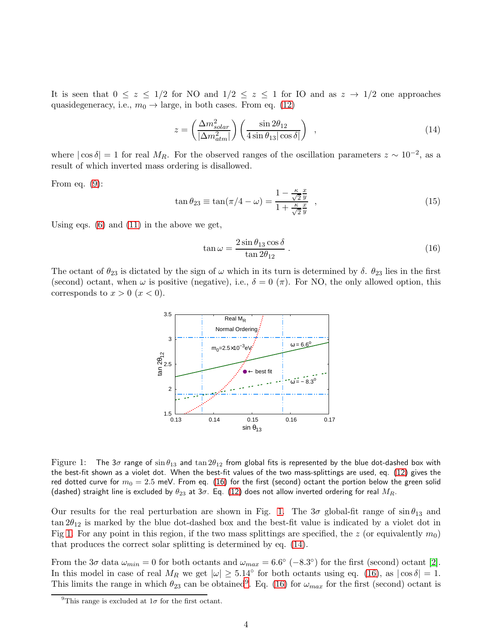It is seen that  $0 \le z \le 1/2$  for NO and  $1/2 \le z \le 1$  for IO and as  $z \to 1/2$  one approaches quasidegeneracy, i.e.,  $m_0 \rightarrow \text{large}$ , in both cases. From eq. [\(12\)](#page-2-7)

<span id="page-3-2"></span>
$$
z = \left(\frac{\Delta m_{solar}^2}{|\Delta m_{atm}^2|}\right) \left(\frac{\sin 2\theta_{12}}{4\sin \theta_{13}|\cos \delta|}\right) ,\qquad (14)
$$

where  $|\cos \delta| = 1$  for real  $M_R$ . For the observed ranges of the oscillation parameters  $z \sim 10^{-2}$ , as a result of which inverted mass ordering is disallowed.

From eq.  $(9)$ :

$$
\tan \theta_{23} \equiv \tan(\pi/4 - \omega) = \frac{1 - \frac{\kappa}{\sqrt{2}} \frac{x}{y}}{1 + \frac{\kappa}{\sqrt{2}} \frac{x}{y}} \quad , \tag{15}
$$

Using eqs. [\(6\)](#page-2-5) and [\(11\)](#page-2-4) in the above we get,

<span id="page-3-0"></span>
$$
\tan \omega = \frac{2\sin \theta_{13} \cos \delta}{\tan 2\theta_{12}}.
$$
\n(16)

The octant of  $\theta_{23}$  is dictated by the sign of  $\omega$  which in its turn is determined by  $\delta$ .  $\theta_{23}$  lies in the first (second) octant, when  $\omega$  is positive (negative), i.e.,  $\delta = 0$  ( $\pi$ ). For NO, the only allowed option, this corresponds to  $x > 0$   $(x < 0)$ .



<span id="page-3-1"></span>Figure 1: The 3 $\sigma$  range of sin  $\theta_{13}$  and  $\tan 2\theta_{12}$  from global fits is represented by the blue dot-dashed box with the best-fit shown as a violet dot. When the best-fit values of the two mass-splittings are used, eq. [\(12\)](#page-2-7) gives the red dotted curve for  $m_0 = 2.5$  meV. From eq. [\(16\)](#page-3-0) for the first (second) octant the portion below the green solid (dashed) straight line is excluded by  $\theta_{23}$  at  $3\sigma$ . Eq. [\(12\)](#page-2-7) does not allow inverted ordering for real  $M_R$ .

Our results for the real perturbation are shown in Fig. [1.](#page-3-1) The  $3\sigma$  global-fit range of  $\sin \theta_{13}$  and  $\tan 2\theta_{12}$  is marked by the blue dot-dashed box and the best-fit value is indicated by a violet dot in Fig [1.](#page-3-1) For any point in this region, if the two mass splittings are specified, the z (or equivalently  $m_0$ ) that produces the correct solar splitting is determined by eq. [\(14\)](#page-3-2).

From the 3 $\sigma$  data  $\omega_{min} = 0$  for both octants and  $\omega_{max} = 6.6^{\circ}$  (-8.3°) for the first (second) octant [\[2\]](#page-7-0). In this model in case of real  $M_R$  we get  $|\omega| \geq 5.14^{\circ}$  for both octants using eq. [\(16\)](#page-3-0), as  $|\cos \delta| = 1$ . This limits the range in which  $\theta_{23}$  can be obtained<sup>[9](#page-3-3)</sup>. Eq. [\(16\)](#page-3-0) for  $\omega_{max}$  for the first (second) octant is

<span id="page-3-3"></span><sup>&</sup>lt;sup>9</sup>This range is excluded at  $1\sigma$  for the first octant.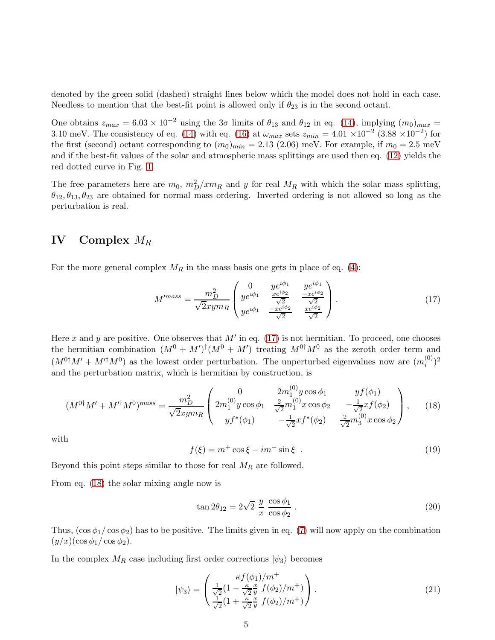denoted by the green solid (dashed) straight lines below which the model does not hold in each case. Needless to mention that the best-fit point is allowed only if  $\theta_{23}$  is in the second octant.

One obtains  $z_{max} = 6.03 \times 10^{-2}$  using the 3 $\sigma$  limits of  $\theta_{13}$  and  $\theta_{12}$  in eq. [\(14\)](#page-3-2), implying  $(m_0)_{max}$ 3.10 meV. The consistency of eq. [\(14\)](#page-3-2) with eq. [\(16\)](#page-3-0) at  $\omega_{max}$  sets  $z_{min} = 4.01 \times 10^{-2}$  (3.88 ×10<sup>-2</sup>) for the first (second) octant corresponding to  $(m_0)_{min} = 2.13$  (2.06) meV. For example, if  $m_0 = 2.5$  meV and if the best-fit values of the solar and atmospheric mass splittings are used then eq. [\(12\)](#page-2-7) yields the red dotted curve in Fig. [1.](#page-3-1)

The free parameters here are  $m_0$ ,  $m_D^2 / x m_R$  and y for real  $M_R$  with which the solar mass splitting,  $\theta_{12}, \theta_{13}, \theta_{23}$  are obtained for normal mass ordering. Inverted ordering is not allowed so long as the perturbation is real.

## IV Complex  $M_R$

For the more general complex  $M_R$  in the mass basis one gets in place of eq. [\(4\)](#page-1-4):

<span id="page-4-0"></span>
$$
M^{lmass} = \frac{m_D^2}{\sqrt{2}xym_R} \begin{pmatrix} 0 & ye^{i\phi_1} & ye^{i\phi_1} \\ ye^{i\phi_1} & \frac{xe^{i\phi_2}}{\sqrt{2}} & \frac{-xe^{i\phi_2}}{\sqrt{2}} \\ ye^{i\phi_1} & \frac{-xe^{i\phi_2}}{\sqrt{2}} & \frac{xe^{i\phi_2}}{\sqrt{2}} \end{pmatrix} . \tag{17}
$$

 $(0)$ 

Here x and y are positive. One observes that  $M'$  in eq. [\(17\)](#page-4-0) is not hermitian. To proceed, one chooses the hermitian combination  $(M^0 + M')^{\dagger} (M^0 + M')$  treating  $M^{0\dagger} M^0$  as the zeroth order term and  $(M^{0\dagger}M' + M'^{\dagger}M^0)$  as the lowest order perturbation. The unperturbed eigenvalues now are  $(m_i^{(0)}$  $\binom{(0)}{i}^2$ and the perturbation matrix, which is hermitian by construction, is

<span id="page-4-1"></span>
$$
(M^{0\dagger}M' + M'^{\dagger}M^{0})^{mass} = \frac{m_D^2}{\sqrt{2}xym_R} \begin{pmatrix} 0 & 2m_1^{(0)}y\cos\phi_1 & yf(\phi_1) \\ 2m_1^{(0)}y\cos\phi_1 & \frac{2}{\sqrt{2}}m_1^{(0)}x\cos\phi_2 & -\frac{1}{\sqrt{2}}xf(\phi_2) \\ yf^*(\phi_1) & -\frac{1}{\sqrt{2}}xf^*(\phi_2) & \frac{2}{\sqrt{2}}m_3^{(0)}x\cos\phi_2 \end{pmatrix},
$$
(18)

with

$$
f(\xi) = m^+ \cos \xi - im^- \sin \xi . \tag{19}
$$

Beyond this point steps similar to those for real  $M_R$  are followed.

From eq. [\(18\)](#page-4-1) the solar mixing angle now is

<span id="page-4-3"></span>
$$
\tan 2\theta_{12} = 2\sqrt{2} \frac{y}{x} \frac{\cos \phi_1}{\cos \phi_2} .
$$
\n(20)

Thus,  $(\cos \phi_1 / \cos \phi_2)$  has to be positive. The limits given in eq. [\(7\)](#page-2-8) will now apply on the combination  $(y/x)(\cos \phi_1/\cos \phi_2).$ 

In the complex  $M_R$  case including first order corrections  $|\psi_3\rangle$  becomes

<span id="page-4-2"></span>
$$
|\psi_3\rangle = \begin{pmatrix} \kappa f(\phi_1)/m^+ \\ \frac{1}{\sqrt{2}}(1 - \frac{\kappa}{\sqrt{2}} \frac{x}{y} f(\phi_2)/m^+) \\ \frac{1}{\sqrt{2}}(1 + \frac{\kappa}{\sqrt{2}} \frac{x}{y} f(\phi_2)/m^+) \end{pmatrix} .
$$
 (21)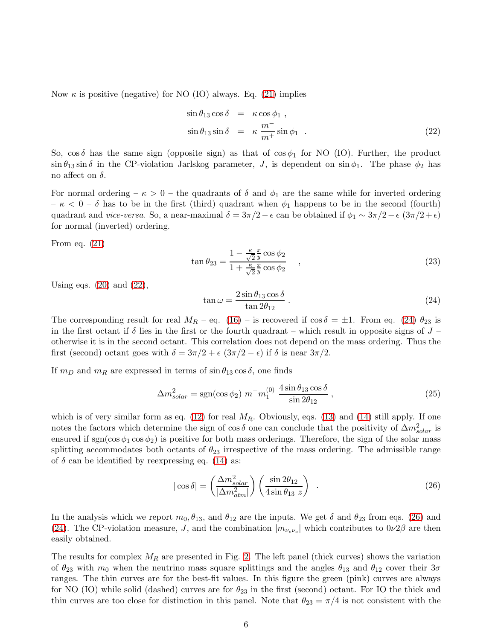Now  $\kappa$  is positive (negative) for NO (IO) always. Eq. [\(21\)](#page-4-2) implies

<span id="page-5-0"></span>
$$
\sin \theta_{13} \cos \delta = \kappa \cos \phi_1 ,
$$
  
\n
$$
\sin \theta_{13} \sin \delta = \kappa \frac{m^-}{m^+} \sin \phi_1 .
$$
\n(22)

So,  $\cos \delta$  has the same sign (opposite sign) as that of  $\cos \phi_1$  for NO (IO). Further, the product  $\sin \theta_{13} \sin \delta$  in the CP-violation Jarlskog parameter, J, is dependent on  $\sin \phi_1$ . The phase  $\phi_2$  has no affect on  $\delta$ .

For normal ordering –  $\kappa > 0$  – the quadrants of  $\delta$  and  $\phi_1$  are the same while for inverted ordering  $-\kappa < 0 - \delta$  has to be in the first (third) quadrant when  $\phi_1$  happens to be in the second (fourth) quadrant and *vice-versa*. So, a near-maximal  $\delta = 3\pi/2 - \epsilon$  can be obtained if  $\phi_1 \sim 3\pi/2 - \epsilon (3\pi/2 + \epsilon)$ for normal (inverted) ordering.

From eq. [\(21\)](#page-4-2)

$$
\tan \theta_{23} = \frac{1 - \frac{\kappa}{\sqrt{2}} \frac{x}{y} \cos \phi_2}{1 + \frac{\kappa}{\sqrt{2}} \frac{x}{y} \cos \phi_2}, \qquad (23)
$$

Using eqs.  $(20)$  and  $(22)$ ,

<span id="page-5-1"></span>
$$
\tan \omega = \frac{2\sin \theta_{13} \cos \delta}{\tan 2\theta_{12}}.
$$
\n(24)

The corresponding result for real  $M_R$  – eq. [\(16\)](#page-3-0) – is recovered if  $\cos \delta = \pm 1$ . From eq. [\(24\)](#page-5-1)  $\theta_{23}$  is in the first octant if  $\delta$  lies in the first or the fourth quadrant – which result in opposite signs of  $J$  – otherwise it is in the second octant. This correlation does not depend on the mass ordering. Thus the first (second) octant goes with  $\delta = 3\pi/2 + \epsilon (3\pi/2 - \epsilon)$  if  $\delta$  is near  $3\pi/2$ .

If  $m_D$  and  $m_R$  are expressed in terms of  $\sin \theta_{13} \cos \delta$ , one finds

<span id="page-5-3"></span>
$$
\Delta m_{solar}^2 = \text{sgn}(\cos \phi_2) \ m^{-} m_1^{(0)} \ \frac{4 \sin \theta_{13} \cos \delta}{\sin 2\theta_{12}} \,, \tag{25}
$$

which is of very similar form as eq.  $(12)$  for real  $M_R$ . Obviously, eqs.  $(13)$  and  $(14)$  still apply. If one notes the factors which determine the sign of cos  $\delta$  one can conclude that the positivity of  $\Delta m_{solar}^2$  is ensured if sgn(cos  $\phi_1$  cos  $\phi_2$ ) is positive for both mass orderings. Therefore, the sign of the solar mass splitting accommodates both octants of  $\theta_{23}$  irrespective of the mass ordering. The admissible range of  $\delta$  can be identified by reexpressing eq. [\(14\)](#page-3-2) as:

<span id="page-5-2"></span>
$$
|\cos\delta| = \left(\frac{\Delta m_{solar}^2}{|\Delta m_{atm}^2|}\right) \left(\frac{\sin 2\theta_{12}}{4\sin\theta_{13} z}\right) . \tag{26}
$$

In the analysis which we report  $m_0, \theta_{13}$ , and  $\theta_{12}$  are the inputs. We get  $\delta$  and  $\theta_{23}$  from eqs. [\(26\)](#page-5-2) and [\(24\)](#page-5-1). The CP-violation measure, J, and the combination  $|m_{\nu_e \nu_e}|$  which contributes to  $0\nu 2\beta$  are then easily obtained.

The results for complex  $M_R$  are presented in Fig. [2.](#page-6-0) The left panel (thick curves) shows the variation of  $\theta_{23}$  with  $m_0$  when the neutrino mass square splittings and the angles  $\theta_{13}$  and  $\theta_{12}$  cover their  $3\sigma$ ranges. The thin curves are for the best-fit values. In this figure the green (pink) curves are always for NO (IO) while solid (dashed) curves are for  $\theta_{23}$  in the first (second) octant. For IO the thick and thin curves are too close for distinction in this panel. Note that  $\theta_{23} = \pi/4$  is not consistent with the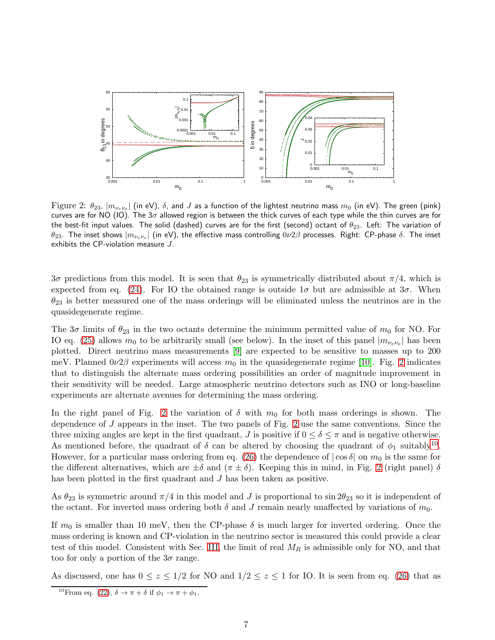

<span id="page-6-0"></span>Figure 2:  $\theta_{23}$ ,  $|m_{\nu_e\nu_e}|$  (in eV),  $\delta$ , and  $J$  as a function of the lightest neutrino mass  $m_0$  (in eV). The green (pink) curves are for NO (IO). The  $3\sigma$  allowed region is between the thick curves of each type while the thin curves are for the best-fit input values. The solid (dashed) curves are for the first (second) octant of  $\theta_{23}$ . Left: The variation of  $\theta_{23}$ . The inset shows  $|m_{\nu_e\nu_e}|$  (in eV), the effective mass controlling  $0\nu2\beta$  processes. Right: CP-phase  $\delta$ . The inset exhibits the CP-violation measure  $J$ .

 $3\sigma$  predictions from this model. It is seen that  $\theta_{23}$  is symmetrically distributed about  $\pi/4$ , which is expected from eq. [\(24\)](#page-5-1). For IO the obtained range is outside  $1\sigma$  but are admissible at  $3\sigma$ . When  $\theta_{23}$  is better measured one of the mass orderings will be eliminated unless the neutrinos are in the quasidegenerate regime.

The  $3\sigma$  limits of  $\theta_{23}$  in the two octants determine the minimum permitted value of  $m_0$  for NO. For IO eq. [\(25\)](#page-5-3) allows  $m_0$  to be arbitrarily small (see below). In the inset of this panel  $|m_{\nu_e \nu_e}|$  has been plotted. Direct neutrino mass measurements [\[9\]](#page-8-4) are expected to be sensitive to masses up to 200 meV. Planned  $0\nu2\beta$  experiments will access  $m_0$  in the quasidegenerate regime [\[10\]](#page-8-5). Fig. [2](#page-6-0) indicates that to distinguish the alternate mass ordering possibilities an order of magnitude improvement in their sensitivity will be needed. Large atmospheric neutrino detectors such as INO or long-baseline experiments are alternate avenues for determining the mass ordering.

In the right panel of Fig. [2](#page-6-0) the variation of  $\delta$  with  $m_0$  for both mass orderings is shown. The dependence of J appears in the inset. The two panels of Fig. [2](#page-6-0) use the same conventions. Since the three mixing angles are kept in the first quadrant, J is positive if  $0 \le \delta \le \pi$  and is negative otherwise. As mentioned before, the quadrant of  $\delta$  can be altered by choosing the quadrant of  $\phi_1$  suitably<sup>[10](#page-6-1)</sup>. However, for a particular mass ordering from eq. [\(26\)](#page-5-2) the dependence of  $|\cos \delta|$  on  $m_0$  is the same for the different alternatives, which are  $\pm \delta$  and  $(\pi \pm \delta)$ . Keeping this in mind, in Fig. [2](#page-6-0) (right panel)  $\delta$ has been plotted in the first quadrant and J has been taken as positive.

As  $\theta_{23}$  is symmetric around  $\pi/4$  in this model and J is proportional to sin  $2\theta_{23}$  so it is independent of the octant. For inverted mass ordering both  $\delta$  and J remain nearly unaffected by variations of  $m_0$ .

If  $m_0$  is smaller than 10 meV, then the CP-phase  $\delta$  is much larger for inverted ordering. Once the mass ordering is known and CP-violation in the neutrino sector is measured this could provide a clear test of this model. Consistent with Sec. [III,](#page-1-5) the limit of real  $M_R$  is admissible only for NO, and that too for only a portion of the  $3\sigma$  range.

As discussed, one has  $0 \le z \le 1/2$  for NO and  $1/2 \le z \le 1$  for IO. It is seen from eq. [\(26\)](#page-5-2) that as

<span id="page-6-1"></span><sup>&</sup>lt;sup>10</sup>From eq. [\(22\)](#page-5-0),  $\delta \rightarrow \pi + \delta$  if  $\phi_1 \rightarrow \pi + \phi_1$ .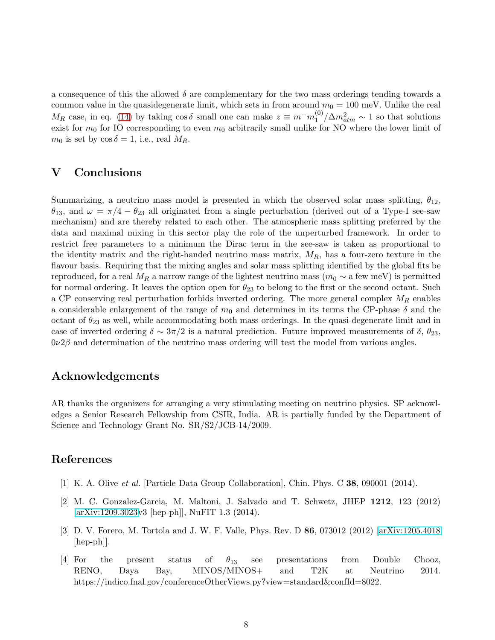a consequence of this the allowed  $\delta$  are complementary for the two mass orderings tending towards a common value in the quasidegenerate limit, which sets in from around  $m_0 = 100$  meV. Unlike the real  $M_R$  case, in eq. [\(14\)](#page-3-2) by taking  $\cos \delta$  small one can make  $z \equiv m^{-}m_1^{(0)}$  $1^{(0)}/\Delta m_{atm}^2 \sim 1$  so that solutions exist for  $m_0$  for IO corresponding to even  $m_0$  arbitrarily small unlike for NO where the lower limit of  $m_0$  is set by  $\cos \delta = 1$ , i.e., real  $M_R$ .

# V Conclusions

Summarizing, a neutrino mass model is presented in which the observed solar mass splitting,  $\theta_{12}$ ,  $\theta_{13}$ , and  $\omega = \pi/4 - \theta_{23}$  all originated from a single perturbation (derived out of a Type-I see-saw mechanism) and are thereby related to each other. The atmospheric mass splitting preferred by the data and maximal mixing in this sector play the role of the unperturbed framework. In order to restrict free parameters to a minimum the Dirac term in the see-saw is taken as proportional to the identity matrix and the right-handed neutrino mass matrix,  $M_R$ , has a four-zero texture in the flavour basis. Requiring that the mixing angles and solar mass splitting identified by the global fits be reproduced, for a real  $M_R$  a narrow range of the lightest neutrino mass ( $m_0 \sim$  a few meV) is permitted for normal ordering. It leaves the option open for  $\theta_{23}$  to belong to the first or the second octant. Such a CP conserving real perturbation forbids inverted ordering. The more general complex  $M_R$  enables a considerable enlargement of the range of  $m_0$  and determines in its terms the CP-phase  $\delta$  and the octant of  $\theta_{23}$  as well, while accommodating both mass orderings. In the quasi-degenerate limit and in case of inverted ordering  $\delta \sim 3\pi/2$  is a natural prediction. Future improved measurements of  $\delta$ ,  $\theta_{23}$ ,  $0\nu2\beta$  and determination of the neutrino mass ordering will test the model from various angles.

### Acknowledgements

AR thanks the organizers for arranging a very stimulating meeting on neutrino physics. SP acknowledges a Senior Research Fellowship from CSIR, India. AR is partially funded by the Department of Science and Technology Grant No. SR/S2/JCB-14/2009.

# <span id="page-7-3"></span>References

- <span id="page-7-0"></span>[1] K. A. Olive et al. [Particle Data Group Collaboration], Chin. Phys. C 38, 090001 (2014).
- [2] M. C. Gonzalez-Garcia, M. Maltoni, J. Salvado and T. Schwetz, JHEP 1212, 123 (2012) [\[arXiv:1209.3023v](http://arxiv.org/abs/1209.3023)3 [hep-ph]], NuFIT 1.3 (2014).
- <span id="page-7-1"></span>[3] D. V. Forero, M. Tortola and J. W. F. Valle, Phys. Rev. D 86, 073012 (2012) [\[arXiv:1205.4018](http://arxiv.org/abs/1205.4018) [hep-ph]].
- <span id="page-7-2"></span>[4] For the present status of  $\theta_{13}$  see presentations from Double Chooz, RENO, Daya Bay, MINOS/MINOS+ and T2K at Neutrino 2014. https://indico.fnal.gov/conferenceOtherViews.py?view=standard&confId=8022.